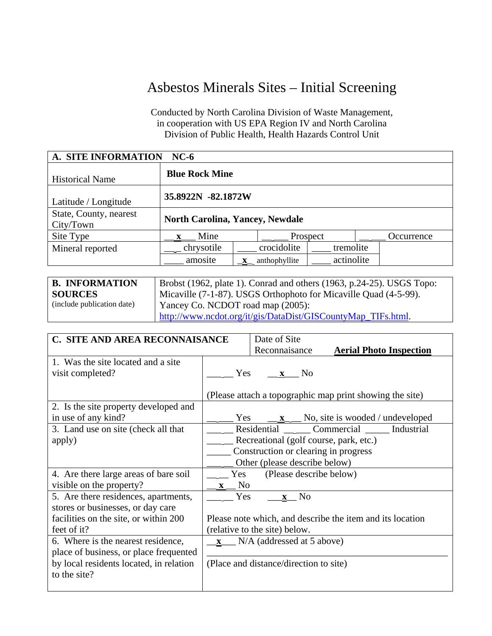## Asbestos Minerals Sites – Initial Screening

Conducted by North Carolina Division of Waste Management, in cooperation with US EPA Region IV and North Carolina Division of Public Health, Health Hazards Control Unit

| A. SITE INFORMATION<br>$NC-6$       |                                        |                  |               |            |  |            |
|-------------------------------------|----------------------------------------|------------------|---------------|------------|--|------------|
| <b>Historical Name</b>              | <b>Blue Rock Mine</b>                  |                  |               |            |  |            |
| Latitude / Longitude                | 35.8922N -82.1872W                     |                  |               |            |  |            |
| State, County, nearest<br>City/Town | <b>North Carolina, Yancey, Newdale</b> |                  |               |            |  |            |
| Site Type                           | Mine                                   |                  |               | Prospect   |  | Occurrence |
| Mineral reported                    | chrysotile                             |                  | crocidolite   | tremolite  |  |            |
|                                     | amosite                                | $\mathbf{X}_{-}$ | anthophyllite | actinolite |  |            |

| <b>B. INFORMATION</b>      | Brobst (1962, plate 1). Conrad and others (1963, p.24-25). USGS Topo: |
|----------------------------|-----------------------------------------------------------------------|
| <b>SOURCES</b>             | Micaville (7-1-87). USGS Orthophoto for Micaville Quad (4-5-99).      |
| (include publication date) | Yancey Co. NCDOT road map (2005):                                     |
|                            | http://www.ncdot.org/it/gis/DataDist/GISCountyMap TIFs.html.          |

| C. SITE AND AREA RECONNAISANCE          |                | Date of Site                            |                                                           |
|-----------------------------------------|----------------|-----------------------------------------|-----------------------------------------------------------|
|                                         |                | Reconnaisance                           | <b>Aerial Photo Inspection</b>                            |
| 1. Was the site located and a site      |                |                                         |                                                           |
| visit completed?<br><b>Yes</b>          |                | $\mathbf{x}$ No                         |                                                           |
|                                         |                |                                         |                                                           |
|                                         |                |                                         | (Please attach a topographic map print showing the site)  |
| 2. Is the site property developed and   |                |                                         |                                                           |
| in use of any kind?                     | Yes            |                                         | $\underline{\mathbf{x}}$ No, site is wooded / undeveloped |
| 3. Land use on site (check all that     |                | Residential $\qquad$                    | Commercial Industrial                                     |
| apply)                                  |                | Recreational (golf course, park, etc.)  |                                                           |
|                                         |                | Construction or clearing in progress    |                                                           |
|                                         |                | Other (please describe below)           |                                                           |
| 4. Are there large areas of bare soil   | <b>Yes</b>     | (Please describe below)                 |                                                           |
| visible on the property?                | N <sub>0</sub> |                                         |                                                           |
| 5. Are there residences, apartments,    | Yes            | No<br>$\mathbf{x}$                      |                                                           |
| stores or businesses, or day care       |                |                                         |                                                           |
| facilities on the site, or within 200   |                |                                         | Please note which, and describe the item and its location |
| feet of it?                             |                | (relative to the site) below.           |                                                           |
| 6. Where is the nearest residence,      |                | $\mathbf{x}$ N/A (addressed at 5 above) |                                                           |
| place of business, or place frequented  |                |                                         |                                                           |
| by local residents located, in relation |                | (Place and distance/direction to site)  |                                                           |
| to the site?                            |                |                                         |                                                           |
|                                         |                |                                         |                                                           |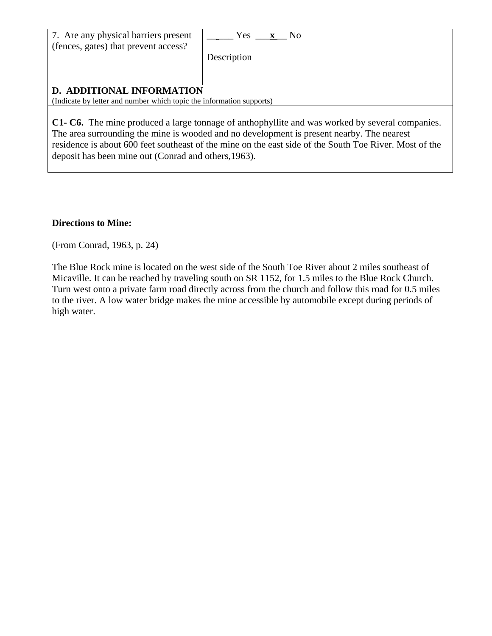| 7. Are any physical barriers present                                                                     | Yes <b>x</b> No |  |  |
|----------------------------------------------------------------------------------------------------------|-----------------|--|--|
| (fences, gates) that prevent access?                                                                     | Description     |  |  |
| <b>D. ADDITIONAL INFORMATION</b><br>(Indicate by letter and number which topic the information supports) |                 |  |  |

**C1- C6.** The mine produced a large tonnage of anthophyllite and was worked by several companies. The area surrounding the mine is wooded and no development is present nearby. The nearest residence is about 600 feet southeast of the mine on the east side of the South Toe River. Most of the deposit has been mine out (Conrad and others,1963).

## **Directions to Mine:**

(From Conrad, 1963, p. 24)

The Blue Rock mine is located on the west side of the South Toe River about 2 miles southeast of Micaville. It can be reached by traveling south on SR 1152, for 1.5 miles to the Blue Rock Church. Turn west onto a private farm road directly across from the church and follow this road for 0.5 miles to the river. A low water bridge makes the mine accessible by automobile except during periods of high water.